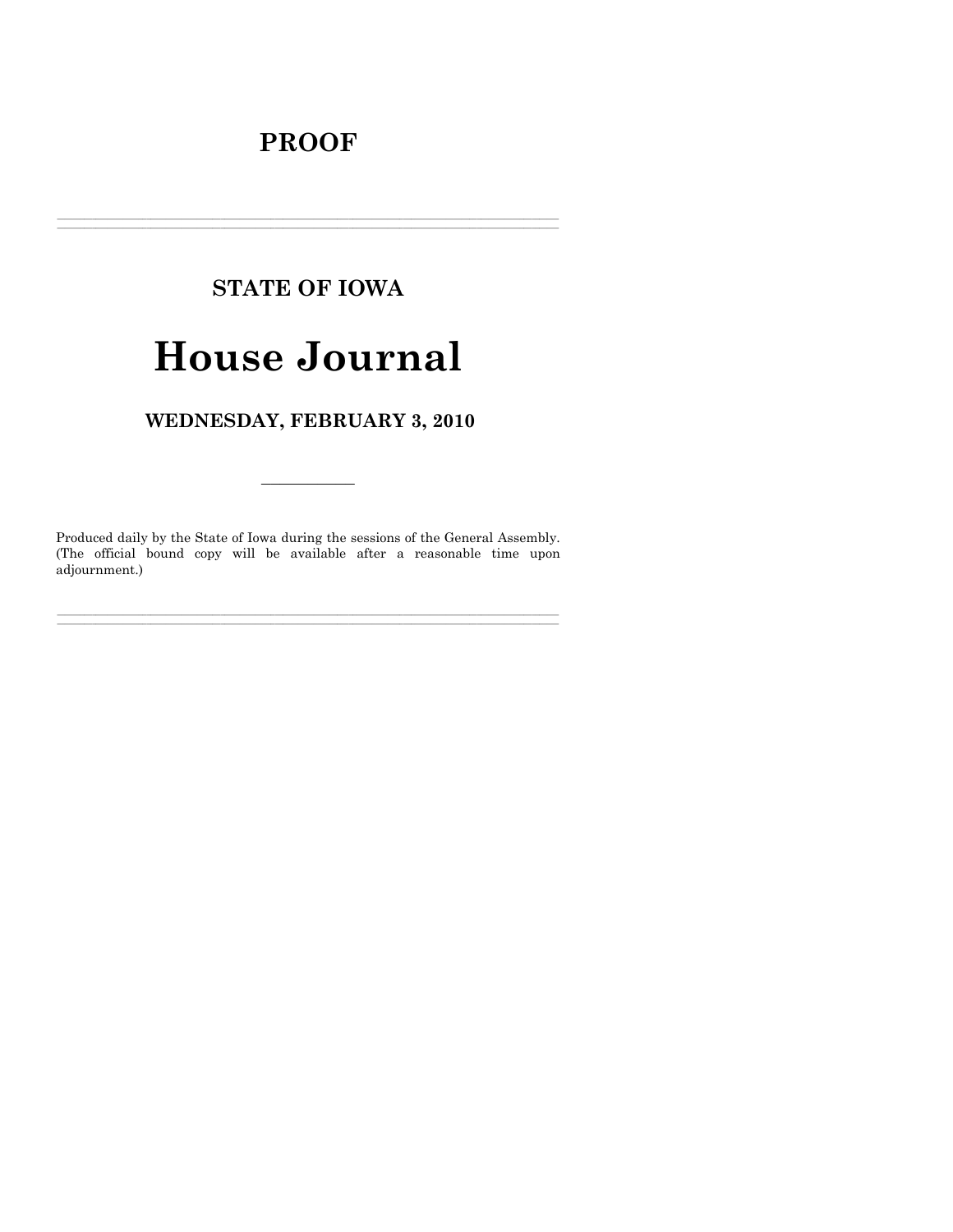# **PROOF**

## **STATE OF IOWA**

# **House Journal**

## WEDNESDAY, FEBRUARY 3, 2010

Produced daily by the State of Iowa during the sessions of the General Assembly. (The official bound copy will be available after a reasonable time upon adjournment.)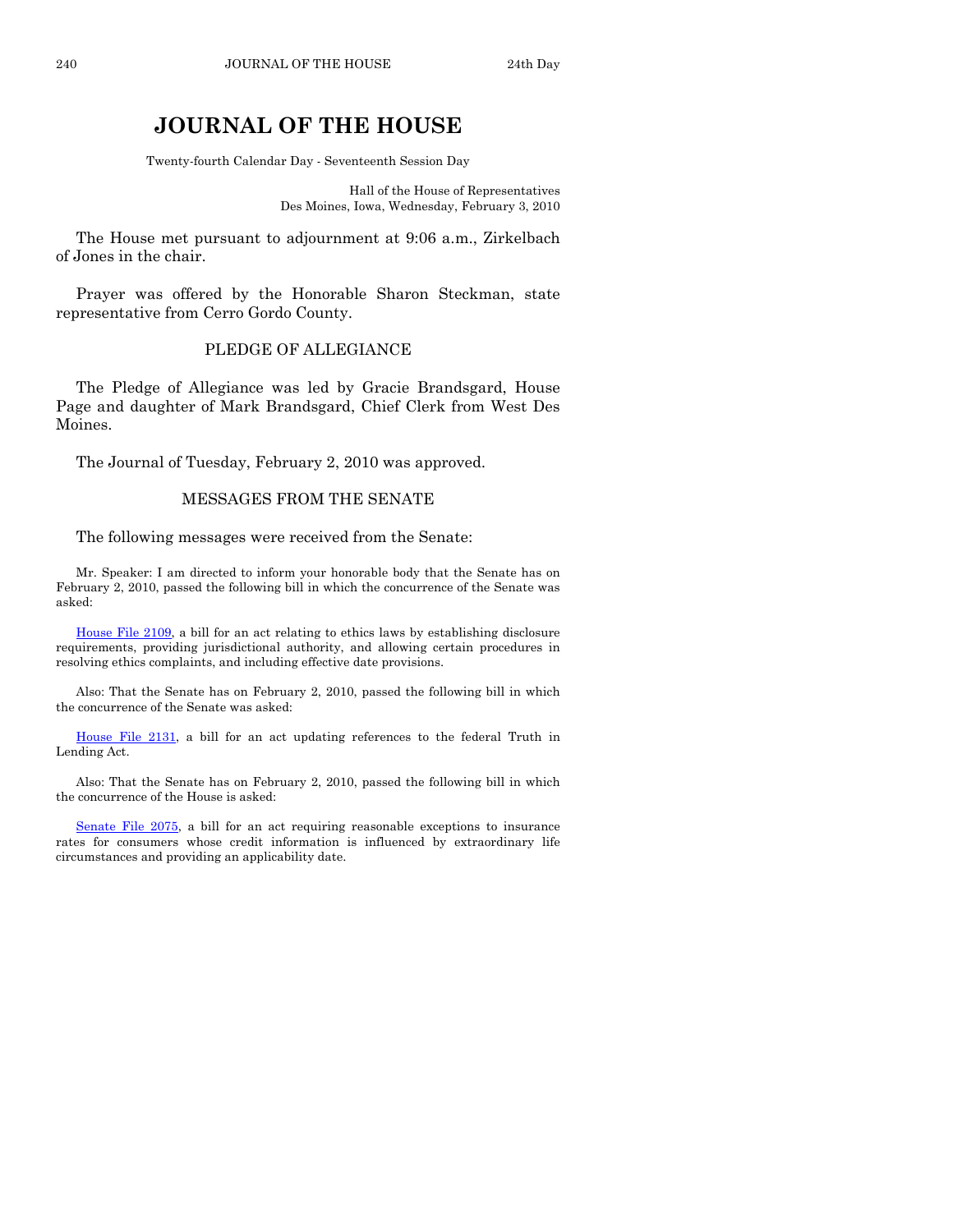### **JOURNAL OF THE HOUSE**

Twenty-fourth Calendar Day - Seventeenth Session Day

Hall of the House of Representatives Des Moines, Iowa, Wednesday, February 3, 2010

 The House met pursuant to adjournment at 9:06 a.m., Zirkelbach of Jones in the chair.

 Prayer was offered by the Honorable Sharon Steckman, state representative from Cerro Gordo County.

#### PLEDGE OF ALLEGIANCE

 The Pledge of Allegiance was led by Gracie Brandsgard, House Page and daughter of Mark Brandsgard, Chief Clerk from West Des Moines.

The Journal of Tuesday, February 2, 2010 was approved.

#### MESSAGES FROM THE SENATE

#### The following messages were received from the Senate:

 Mr. Speaker: I am directed to inform your honorable body that the Senate has on February 2, 2010, passed the following bill in which the concurrence of the Senate was asked:

[House File 2109](http://coolice.legis.state.ia.us/Cool-ICE/default.asp?Category=billinfo&Service=Billbook&frame=1&GA=83&hbill=HF2109), a bill for an act relating to ethics laws by establishing disclosure requirements, providing jurisdictional authority, and allowing certain procedures in resolving ethics complaints, and including effective date provisions.

 Also: That the Senate has on February 2, 2010, passed the following bill in which the concurrence of the Senate was asked:

[House File 2131](http://coolice.legis.state.ia.us/Cool-ICE/default.asp?Category=billinfo&Service=Billbook&frame=1&GA=83&hbill=HF2131), a bill for an act updating references to the federal Truth in Lending Act.

 Also: That the Senate has on February 2, 2010, passed the following bill in which the concurrence of the House is asked:

[Senate File 2075](http://coolice.legis.state.ia.us/Cool-ICE/default.asp?Category=billinfo&Service=Billbook&frame=1&GA=83&hbill=SF2075), a bill for an act requiring reasonable exceptions to insurance rates for consumers whose credit information is influenced by extraordinary life circumstances and providing an applicability date.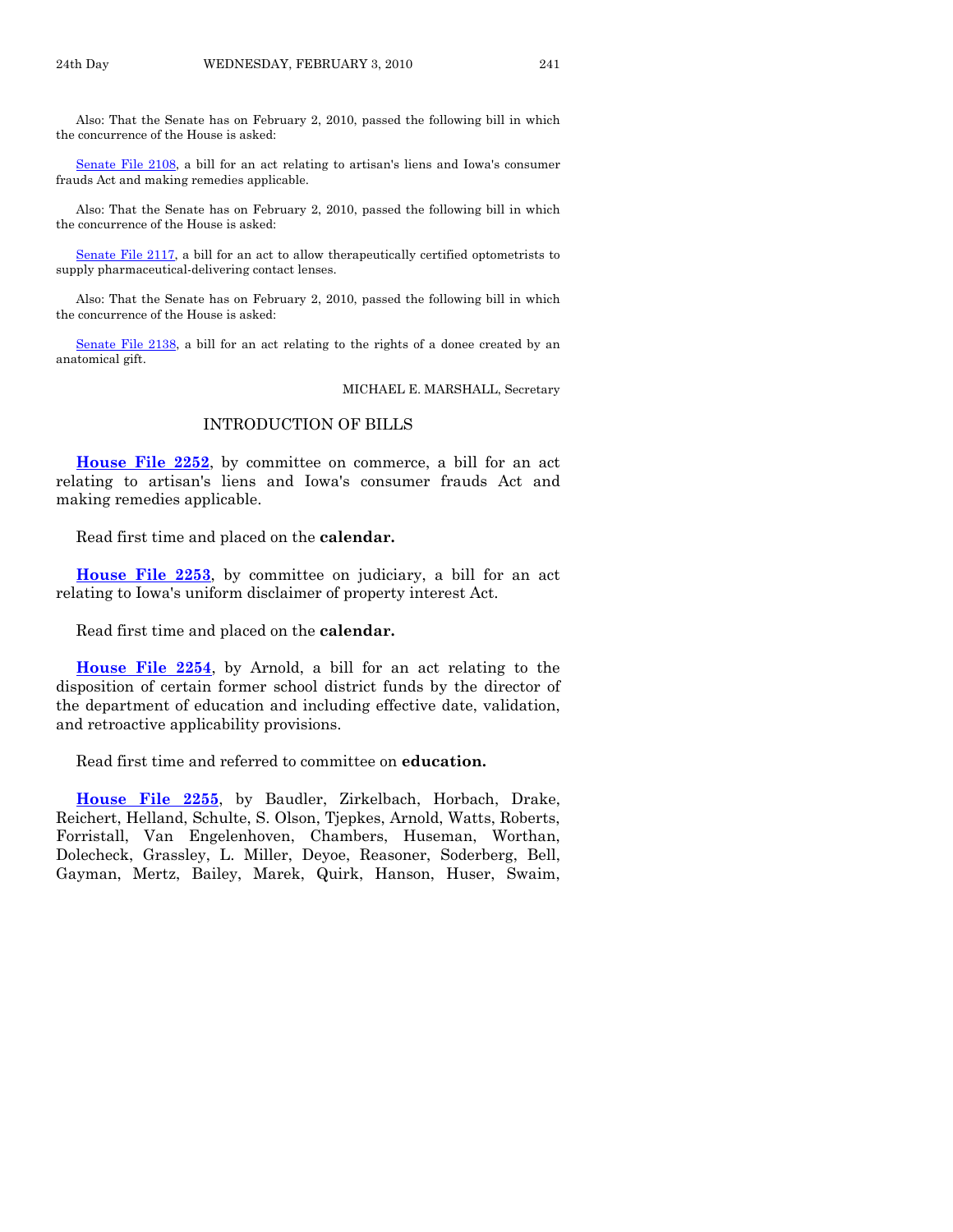Also: That the Senate has on February 2, 2010, passed the following bill in which the concurrence of the House is asked:

[Senate File 2108](http://coolice.legis.state.ia.us/Cool-ICE/default.asp?Category=billinfo&Service=Billbook&frame=1&GA=83&hbill=SF2108), a bill for an act relating to artisan's liens and Iowa's consumer frauds Act and making remedies applicable.

 Also: That the Senate has on February 2, 2010, passed the following bill in which the concurrence of the House is asked:

[Senate File 2117](http://coolice.legis.state.ia.us/Cool-ICE/default.asp?Category=billinfo&Service=Billbook&frame=1&GA=83&hbill=SF2117), a bill for an act to allow therapeutically certified optometrists to supply pharmaceutical-delivering contact lenses.

 Also: That the Senate has on February 2, 2010, passed the following bill in which the concurrence of the House is asked:

[Senate File 2138](http://coolice.legis.state.ia.us/Cool-ICE/default.asp?Category=billinfo&Service=Billbook&frame=1&GA=83&hbill=SF2138), a bill for an act relating to the rights of a donee created by an anatomical gift.

MICHAEL E. MARSHALL, Secretary

#### INTRODUCTION OF BILLS

**[House File 2252](http://coolice.legis.state.ia.us/Cool-ICE/default.asp?Category=billinfo&Service=Billbook&frame=1&GA=83&hbill=HF2252)**, by committee on commerce, a bill for an act relating to artisan's liens and Iowa's consumer frauds Act and making remedies applicable.

Read first time and placed on the **calendar.** 

**[House File 2253](http://coolice.legis.state.ia.us/Cool-ICE/default.asp?Category=billinfo&Service=Billbook&frame=1&GA=83&hbill=HF2253)**, by committee on judiciary, a bill for an act relating to Iowa's uniform disclaimer of property interest Act.

Read first time and placed on the **calendar.** 

**[House File 2254](http://coolice.legis.state.ia.us/Cool-ICE/default.asp?Category=billinfo&Service=Billbook&frame=1&GA=83&hbill=HF2254)**, by Arnold, a bill for an act relating to the disposition of certain former school district funds by the director of the department of education and including effective date, validation, and retroactive applicability provisions.

Read first time and referred to committee on **education.** 

**[House File 2255](http://coolice.legis.state.ia.us/Cool-ICE/default.asp?Category=billinfo&Service=Billbook&frame=1&GA=83&hbill=HF2255)**, by Baudler, Zirkelbach, Horbach, Drake, Reichert, Helland, Schulte, S. Olson, Tjepkes, Arnold, Watts, Roberts, Forristall, Van Engelenhoven, Chambers, Huseman, Worthan, Dolecheck, Grassley, L. Miller, Deyoe, Reasoner, Soderberg, Bell, Gayman, Mertz, Bailey, Marek, Quirk, Hanson, Huser, Swaim,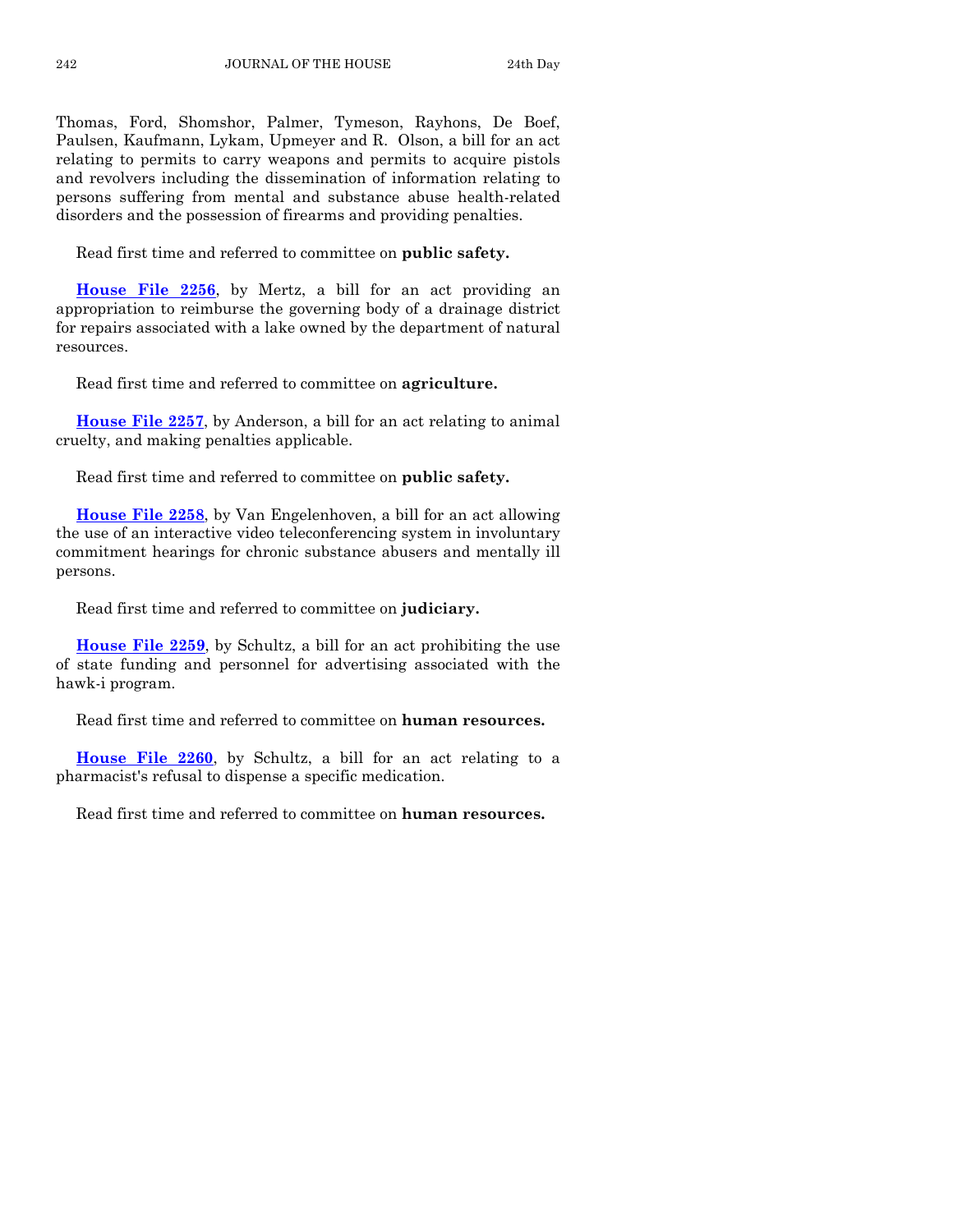Thomas, Ford, Shomshor, Palmer, Tymeson, Rayhons, De Boef, Paulsen, Kaufmann, Lykam, Upmeyer and R. Olson, a bill for an act relating to permits to carry weapons and permits to acquire pistols and revolvers including the dissemination of information relating to persons suffering from mental and substance abuse health-related disorders and the possession of firearms and providing penalties.

Read first time and referred to committee on **public safety.** 

**[House File 2256](http://coolice.legis.state.ia.us/Cool-ICE/default.asp?Category=billinfo&Service=Billbook&frame=1&GA=83&hbill=HF2256)**, by Mertz, a bill for an act providing an appropriation to reimburse the governing body of a drainage district for repairs associated with a lake owned by the department of natural resources.

Read first time and referred to committee on **agriculture.** 

**[House File 2257](http://coolice.legis.state.ia.us/Cool-ICE/default.asp?Category=billinfo&Service=Billbook&frame=1&GA=83&hbill=HF2257)**, by Anderson, a bill for an act relating to animal cruelty, and making penalties applicable.

Read first time and referred to committee on **public safety.** 

**[House File 2258](http://coolice.legis.state.ia.us/Cool-ICE/default.asp?Category=billinfo&Service=Billbook&frame=1&GA=83&hbill=HF2258)**, by Van Engelenhoven, a bill for an act allowing the use of an interactive video teleconferencing system in involuntary commitment hearings for chronic substance abusers and mentally ill persons.

Read first time and referred to committee on **judiciary.** 

**[House File 2259](http://coolice.legis.state.ia.us/Cool-ICE/default.asp?Category=billinfo&Service=Billbook&frame=1&GA=83&hbill=HF2259)**, by Schultz, a bill for an act prohibiting the use of state funding and personnel for advertising associated with the hawk-i program.

Read first time and referred to committee on **human resources.** 

**[House File 2260](http://coolice.legis.state.ia.us/Cool-ICE/default.asp?Category=billinfo&Service=Billbook&frame=1&GA=83&hbill=HF2260)**, by Schultz, a bill for an act relating to a pharmacist's refusal to dispense a specific medication.

Read first time and referred to committee on **human resources.**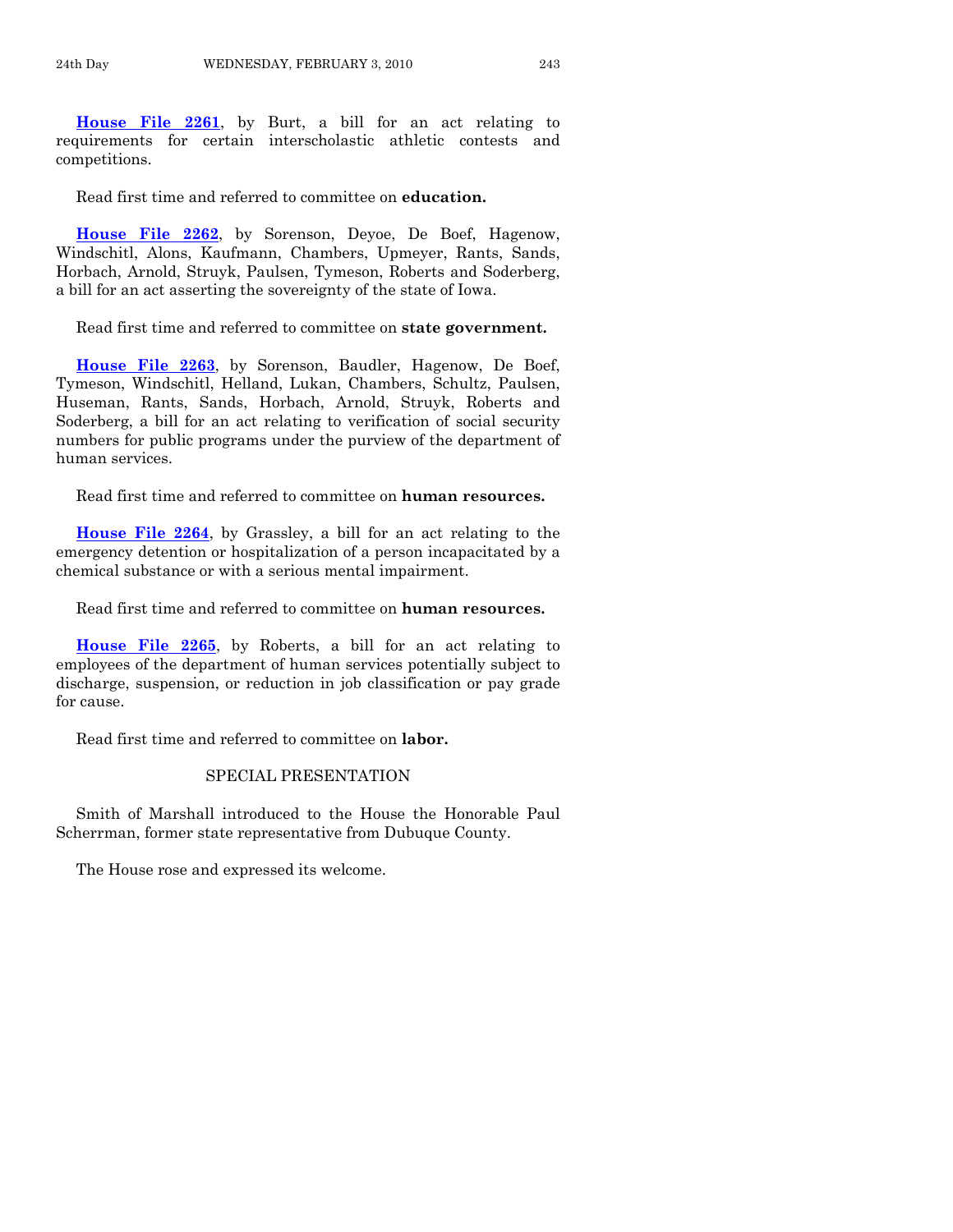**[House File 2261](http://coolice.legis.state.ia.us/Cool-ICE/default.asp?Category=billinfo&Service=Billbook&frame=1&GA=83&hbill=HF2261)**, by Burt, a bill for an act relating to requirements for certain interscholastic athletic contests and competitions.

Read first time and referred to committee on **education.** 

**[House File 2262](http://coolice.legis.state.ia.us/Cool-ICE/default.asp?Category=billinfo&Service=Billbook&frame=1&GA=83&hbill=HF2262)**, by Sorenson, Deyoe, De Boef, Hagenow, Windschitl, Alons, Kaufmann, Chambers, Upmeyer, Rants, Sands, Horbach, Arnold, Struyk, Paulsen, Tymeson, Roberts and Soderberg, a bill for an act asserting the sovereignty of the state of Iowa.

Read first time and referred to committee on **state government.** 

**[House File 2263](http://coolice.legis.state.ia.us/Cool-ICE/default.asp?Category=billinfo&Service=Billbook&frame=1&GA=83&hbill=HF2263)**, by Sorenson, Baudler, Hagenow, De Boef, Tymeson, Windschitl, Helland, Lukan, Chambers, Schultz, Paulsen, Huseman, Rants, Sands, Horbach, Arnold, Struyk, Roberts and Soderberg, a bill for an act relating to verification of social security numbers for public programs under the purview of the department of human services.

Read first time and referred to committee on **human resources.** 

**[House File 2264](http://coolice.legis.state.ia.us/Cool-ICE/default.asp?Category=billinfo&Service=Billbook&frame=1&GA=83&hbill=HF2264)**, by Grassley, a bill for an act relating to the emergency detention or hospitalization of a person incapacitated by a chemical substance or with a serious mental impairment.

Read first time and referred to committee on **human resources.** 

**[House File 2265](http://coolice.legis.state.ia.us/Cool-ICE/default.asp?Category=billinfo&Service=Billbook&frame=1&GA=83&hbill=HF2265)**, by Roberts, a bill for an act relating to employees of the department of human services potentially subject to discharge, suspension, or reduction in job classification or pay grade for cause.

Read first time and referred to committee on **labor.** 

#### SPECIAL PRESENTATION

 Smith of Marshall introduced to the House the Honorable Paul Scherrman, former state representative from Dubuque County.

The House rose and expressed its welcome.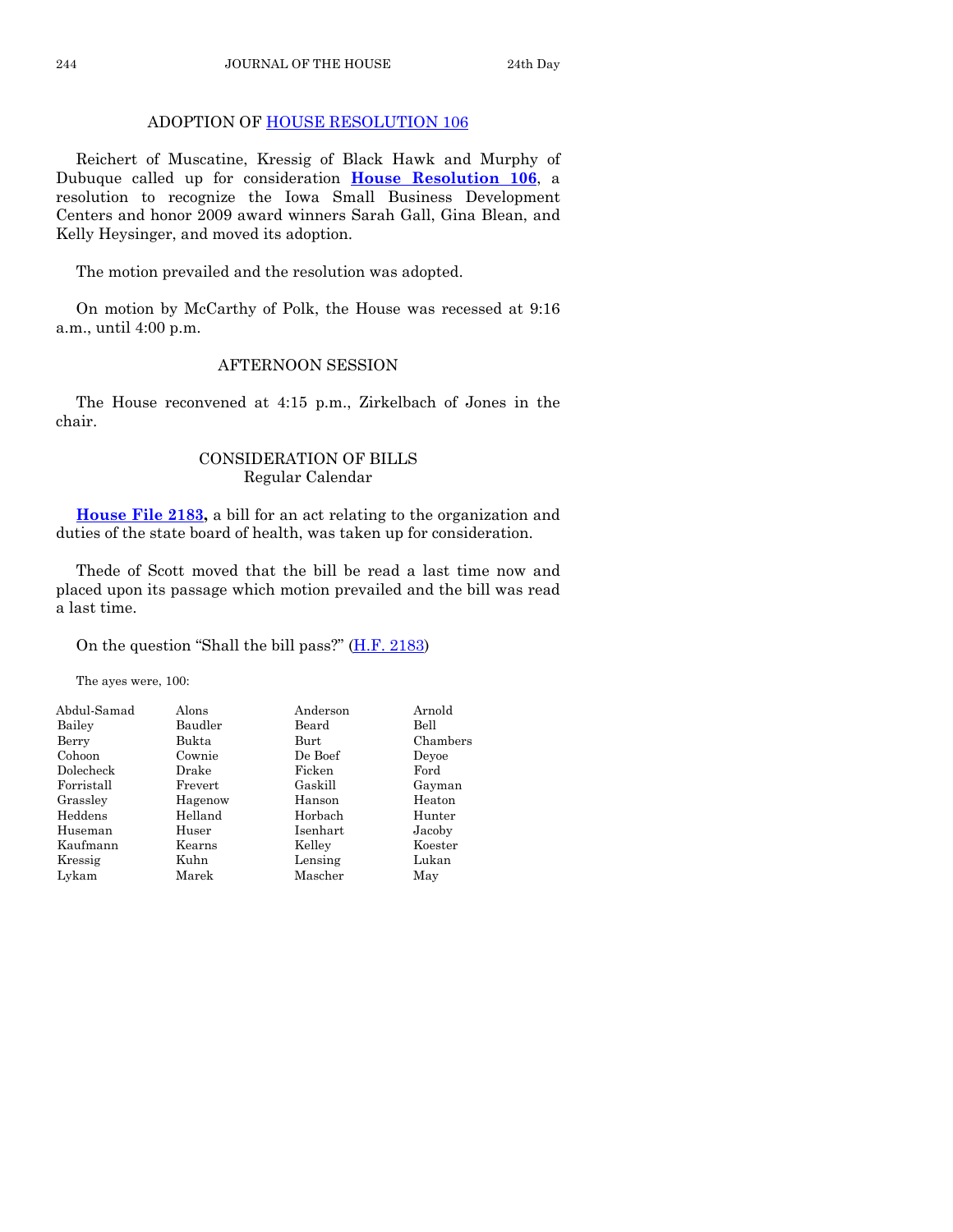#### ADOPTION OF [HOUSE RESOLUTION 106](http://coolice.legis.state.ia.us/Cool-ICE/default.asp?Category=billinfo&Service=Billbook&frame=1&GA=83&hbill=HR106)

 Reichert of Muscatine, Kressig of Black Hawk and Murphy of Dubuque called up for consideration **[House Resolution 106](http://coolice.legis.state.ia.us/Cool-ICE/default.asp?Category=billinfo&Service=Billbook&frame=1&GA=83&hbill=HR106)**, a resolution to recognize the Iowa Small Business Development Centers and honor 2009 award winners Sarah Gall, Gina Blean, and Kelly Heysinger, and moved its adoption.

The motion prevailed and the resolution was adopted.

 On motion by McCarthy of Polk, the House was recessed at 9:16 a.m., until 4:00 p.m.

#### AFTERNOON SESSION

 The House reconvened at 4:15 p.m., Zirkelbach of Jones in the chair.

#### CONSIDERATION OF BILLS Regular Calendar

**[House File 2183,](http://coolice.legis.state.ia.us/Cool-ICE/default.asp?Category=billinfo&Service=Billbook&frame=1&GA=83&hbill=HF2183)** a bill for an act relating to the organization and duties of the state board of health, was taken up for consideration.

 Thede of Scott moved that the bill be read a last time now and placed upon its passage which motion prevailed and the bill was read a last time.

On the question "Shall the bill pass?" [\(H.F. 2183\)](http://coolice.legis.state.ia.us/Cool-ICE/default.asp?Category=billinfo&Service=Billbook&frame=1&GA=83&hbill=HF2183)

The ayes were, 100:

| Abdul-Samad | Alons   | Anderson | Arnold   |
|-------------|---------|----------|----------|
| Bailey      | Baudler | Beard    | Bell     |
| Berry       | Bukta   | Burt     | Chambers |
| Cohoon      | Cownie  | De Boef  | Devoe    |
| Dolecheck   | Drake   | Ficken   | Ford     |
| Forristall  | Frevert | Gaskill  | Gayman   |
| Grassley    | Hagenow | Hanson   | Heaton   |
| Heddens     | Helland | Horbach  | Hunter   |
| Huseman     | Huser   | Isenhart | Jacoby   |
| Kaufmann    | Kearns  | Kelley   | Koester  |
| Kressig     | Kuhn    | Lensing  | Lukan    |
| Lykam       | Marek   | Mascher  | May      |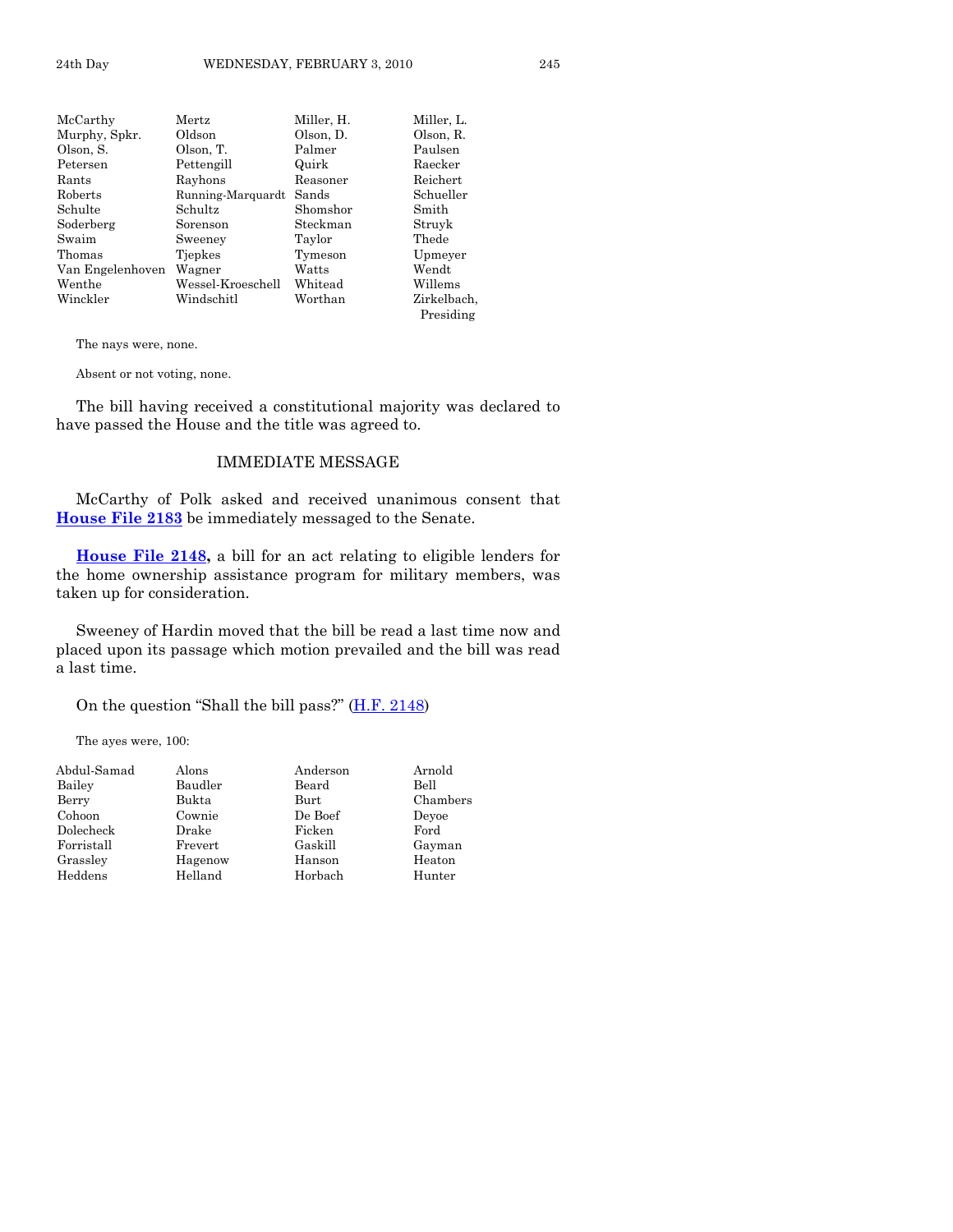| McCarthy         | ${\rm Mertz}$     | Miller, H. | Miller, L.  |
|------------------|-------------------|------------|-------------|
| Murphy, Spkr.    | Oldson            | Olson. D.  | Olson, R.   |
| Olson, S.        | Olson, T.         | Palmer     | Paulsen     |
| Petersen         | Pettengill        | Quirk      | Raecker     |
| Rants            | Rayhons           | Reasoner   | Reichert    |
| Roberts          | Running-Marquardt | Sands      | Schueller   |
| Schulte          | Schultz           | Shomshor   | Smith       |
| Soderberg        | Sorenson          | Steckman   | Struyk      |
| Swaim            | Sweeney           | Taylor     | Thede       |
| Thomas           | Tiepkes           | Tymeson    | Upmeyer     |
| Van Engelenhoven | Wagner            | Watts      | Wendt       |
| Wenthe           | Wessel-Kroeschell | Whitead    | Willems     |
| Winckler         | Windschitl        | Worthan    | Zirkelbach. |
|                  |                   |            | Presiding   |

The nays were, none.

Absent or not voting, none.

 The bill having received a constitutional majority was declared to have passed the House and the title was agreed to.

#### IMMEDIATE MESSAGE

 McCarthy of Polk asked and received unanimous consent that **[House File 2183](http://coolice.legis.state.ia.us/Cool-ICE/default.asp?Category=billinfo&Service=Billbook&frame=1&GA=83&hbill=HF2183)** be immediately messaged to the Senate.

**[House File 2148,](http://coolice.legis.state.ia.us/Cool-ICE/default.asp?Category=billinfo&Service=Billbook&frame=1&GA=83&hbill=HF2148)** a bill for an act relating to eligible lenders for the home ownership assistance program for military members, was taken up for consideration.

 Sweeney of Hardin moved that the bill be read a last time now and placed upon its passage which motion prevailed and the bill was read a last time.

On the question "Shall the bill pass?" [\(H.F. 2148\)](http://coolice.legis.state.ia.us/Cool-ICE/default.asp?Category=billinfo&Service=Billbook&frame=1&GA=83&hbill=HF2148)

The ayes were, 100:

| Abdul-Samad | Alons   | Anderson | Arnold   |
|-------------|---------|----------|----------|
| Bailey      | Baudler | Beard    | Bell     |
| Berry       | Bukta   | Burt     | Chambers |
| Cohoon      | Cownie  | De Boef  | Devoe    |
| Dolecheck   | Drake   | Ficken   | Ford     |
| Forristall  | Frevert | Gaskill  | Gayman   |
| Grassley    | Hagenow | Hanson   | Heaton   |
| Heddens     | Helland | Horbach  | Hunter   |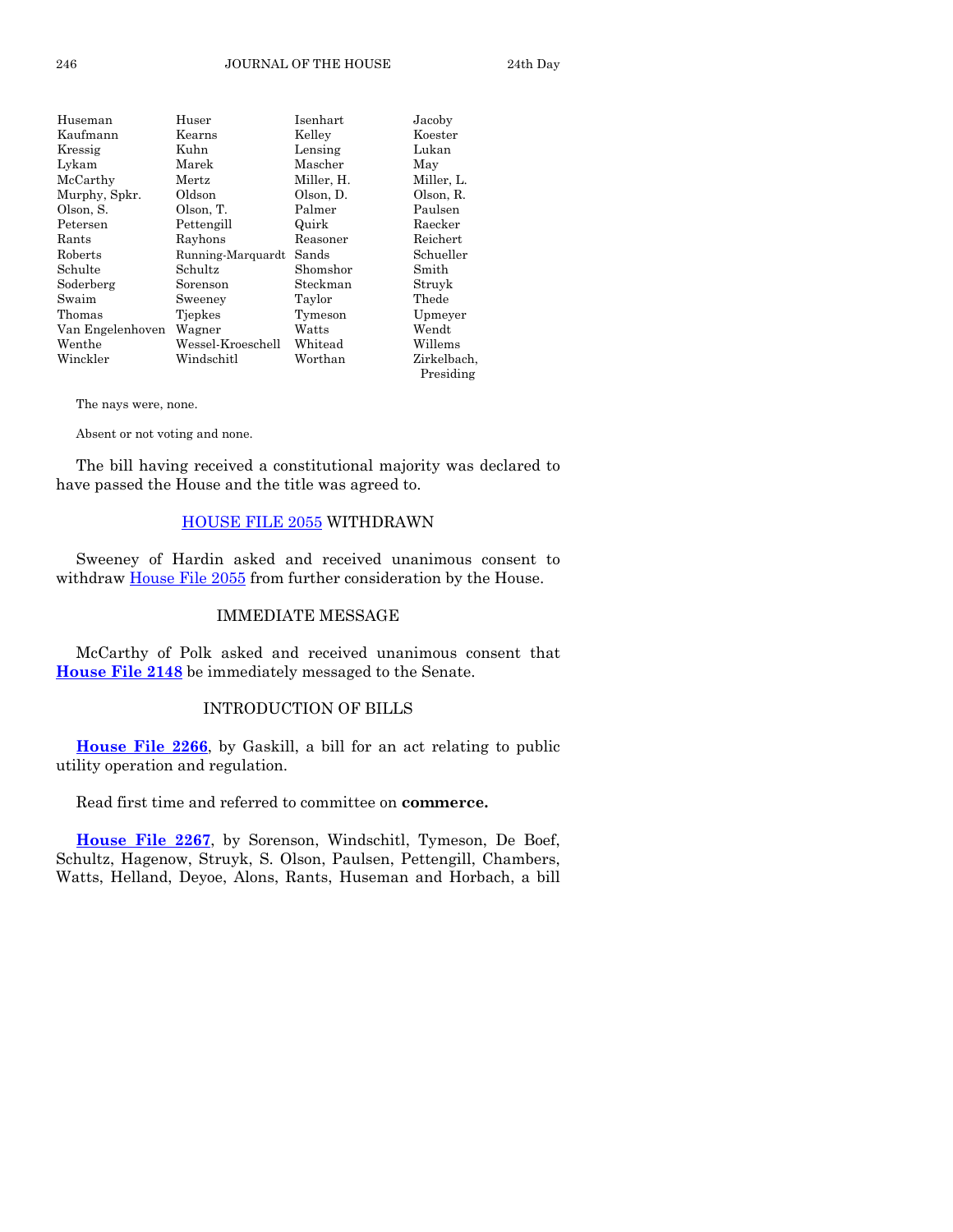| Huseman          | Huser             | Isenhart   | Jacoby      |
|------------------|-------------------|------------|-------------|
| Kaufmann         | Kearns            | Kelley     | Koester     |
| Kressig          | Kuhn              | Lensing    | Lukan       |
| Lykam            | Marek             | Mascher    | May         |
| McCarthy         | Mertz             | Miller, H. | Miller, L.  |
| Murphy, Spkr.    | Oldson            | Olson, D.  | Olson, R.   |
| Olson, S.        | Olson, T.         | Palmer     | Paulsen     |
| Petersen         | Pettengill        | Quirk      | Raecker     |
| Rants            | Rayhons           | Reasoner   | Reichert    |
| Roberts          | Running-Marquardt | Sands      | Schueller   |
| Schulte          | Schultz           | Shomshor   | Smith       |
| Soderberg        | Sorenson          | Steckman   | Struyk      |
| Swaim            | Sweeney           | Taylor     | Thede       |
| Thomas           | Tjepkes           | Tymeson    | Upmeyer     |
| Van Engelenhoven | Wagner            | Watts      | Wendt       |
| Wenthe           | Wessel-Kroeschell | Whitead    | Willems     |
| Winckler         | Windschitl        | Worthan    | Zirkelbach, |
|                  |                   |            | Presiding   |

The nays were, none.

Absent or not voting and none.

 The bill having received a constitutional majority was declared to have passed the House and the title was agreed to.

#### [HOUSE FILE 2055](http://coolice.legis.state.ia.us/Cool-ICE/default.asp?Category=billinfo&Service=Billbook&frame=1&GA=83&hbill=HF2055) WITHDRAWN

 Sweeney of Hardin asked and received unanimous consent to withdraw [House File 2055](http://coolice.legis.state.ia.us/Cool-ICE/default.asp?Category=billinfo&Service=Billbook&frame=1&GA=83&hbill=HF2055) from further consideration by the House.

#### IMMEDIATE MESSAGE

 McCarthy of Polk asked and received unanimous consent that **[House File 2148](http://coolice.legis.state.ia.us/Cool-ICE/default.asp?Category=billinfo&Service=Billbook&frame=1&GA=83&hbill=HF2148)** be immediately messaged to the Senate.

#### INTRODUCTION OF BILLS

**[House File 2266](http://coolice.legis.state.ia.us/Cool-ICE/default.asp?Category=billinfo&Service=Billbook&frame=1&GA=83&hbill=HF2266)**, by Gaskill, a bill for an act relating to public utility operation and regulation.

Read first time and referred to committee on **commerce.** 

**[House File 2267](http://coolice.legis.state.ia.us/Cool-ICE/default.asp?Category=billinfo&Service=Billbook&frame=1&GA=83&hbill=HF2267)**, by Sorenson, Windschitl, Tymeson, De Boef, Schultz, Hagenow, Struyk, S. Olson, Paulsen, Pettengill, Chambers, Watts, Helland, Deyoe, Alons, Rants, Huseman and Horbach, a bill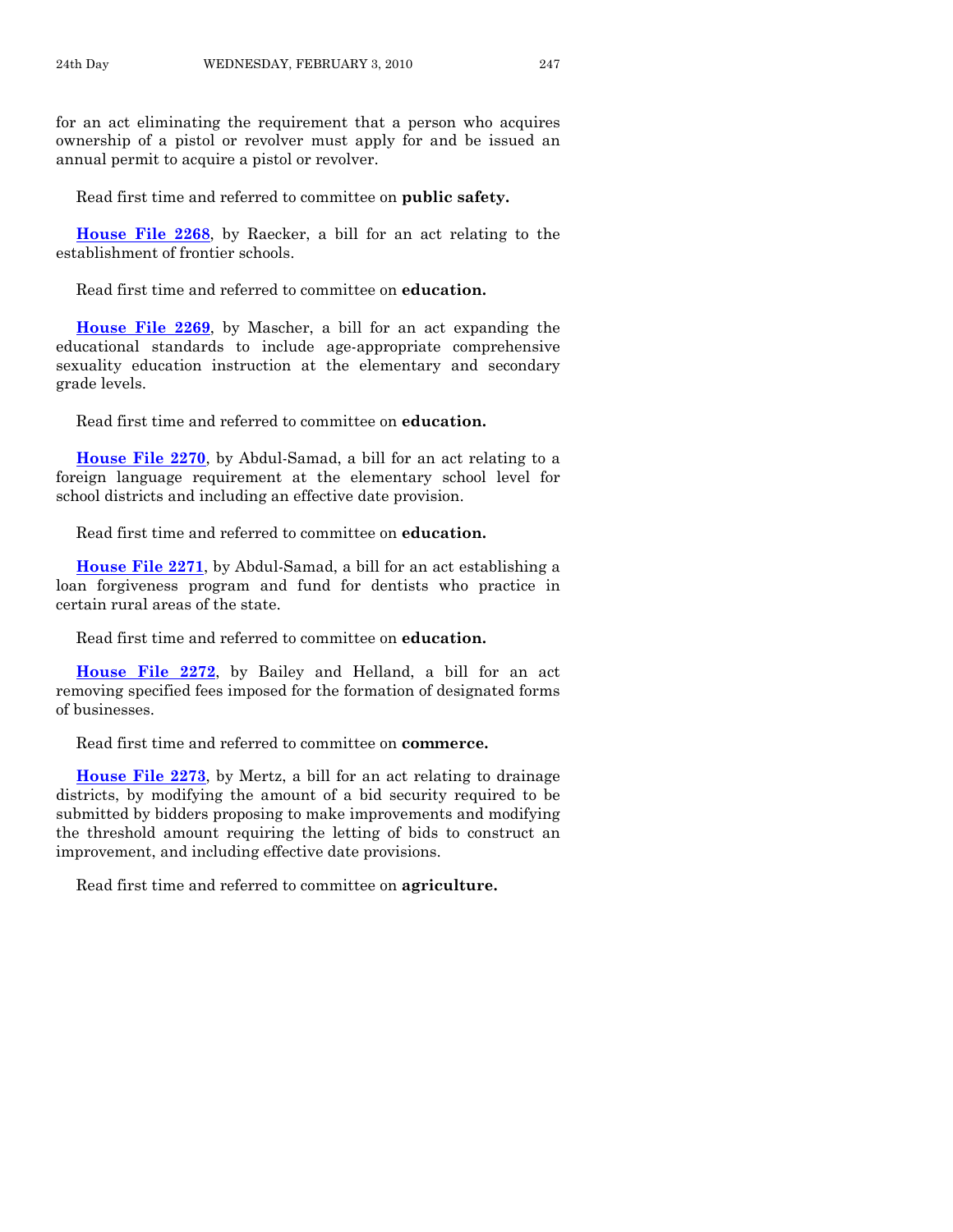for an act eliminating the requirement that a person who acquires ownership of a pistol or revolver must apply for and be issued an annual permit to acquire a pistol or revolver.

Read first time and referred to committee on **public safety.** 

**[House File 2268](http://coolice.legis.state.ia.us/Cool-ICE/default.asp?Category=billinfo&Service=Billbook&frame=1&GA=83&hbill=HF2268)**, by Raecker, a bill for an act relating to the establishment of frontier schools.

Read first time and referred to committee on **education.** 

**[House File 2269](http://coolice.legis.state.ia.us/Cool-ICE/default.asp?Category=billinfo&Service=Billbook&frame=1&GA=83&hbill=HF2269)**, by Mascher, a bill for an act expanding the educational standards to include age-appropriate comprehensive sexuality education instruction at the elementary and secondary grade levels.

Read first time and referred to committee on **education.** 

**[House File 2270](http://coolice.legis.state.ia.us/Cool-ICE/default.asp?Category=billinfo&Service=Billbook&frame=1&GA=83&hbill=HF2270)**, by Abdul-Samad, a bill for an act relating to a foreign language requirement at the elementary school level for school districts and including an effective date provision.

Read first time and referred to committee on **education.** 

**[House File 2271](http://coolice.legis.state.ia.us/Cool-ICE/default.asp?Category=billinfo&Service=Billbook&frame=1&GA=83&hbill=HF2271)**, by Abdul-Samad, a bill for an act establishing a loan forgiveness program and fund for dentists who practice in certain rural areas of the state.

Read first time and referred to committee on **education.** 

**[House File 2272](http://coolice.legis.state.ia.us/Cool-ICE/default.asp?Category=billinfo&Service=Billbook&frame=1&GA=83&hbill=HF2272)**, by Bailey and Helland, a bill for an act removing specified fees imposed for the formation of designated forms of businesses.

Read first time and referred to committee on **commerce.** 

**[House File 2273](http://coolice.legis.state.ia.us/Cool-ICE/default.asp?Category=billinfo&Service=Billbook&frame=1&GA=83&hbill=HF2273)**, by Mertz, a bill for an act relating to drainage districts, by modifying the amount of a bid security required to be submitted by bidders proposing to make improvements and modifying the threshold amount requiring the letting of bids to construct an improvement, and including effective date provisions.

Read first time and referred to committee on **agriculture.**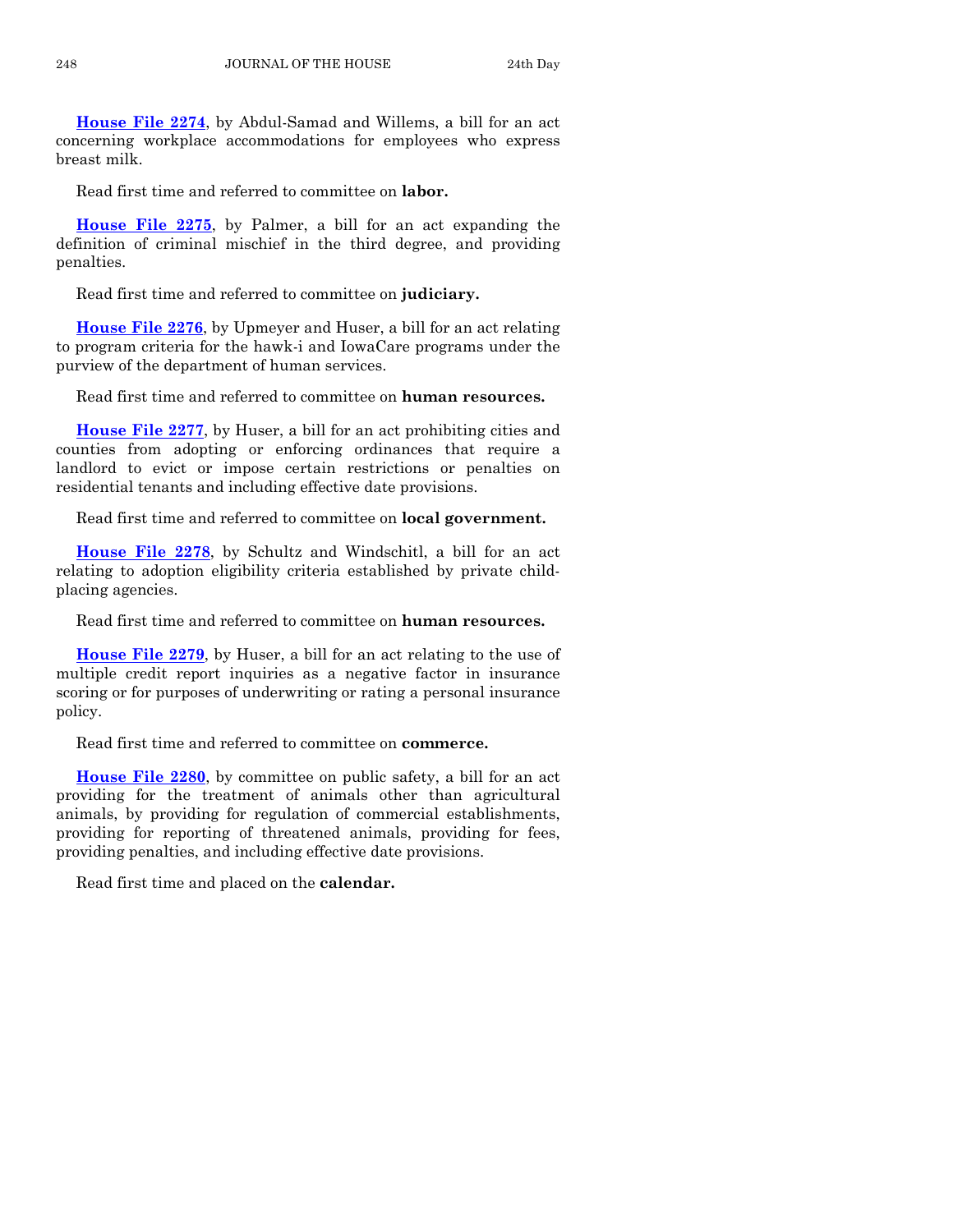**[House File 2274](http://coolice.legis.state.ia.us/Cool-ICE/default.asp?Category=billinfo&Service=Billbook&frame=1&GA=83&hbill=HF2274)**, by Abdul-Samad and Willems, a bill for an act concerning workplace accommodations for employees who express breast milk.

Read first time and referred to committee on **labor.** 

**[House File 2275](http://coolice.legis.state.ia.us/Cool-ICE/default.asp?Category=billinfo&Service=Billbook&frame=1&GA=83&hbill=HF2275)**, by Palmer, a bill for an act expanding the definition of criminal mischief in the third degree, and providing penalties.

Read first time and referred to committee on **judiciary.** 

**[House File 2276](http://coolice.legis.state.ia.us/Cool-ICE/default.asp?Category=billinfo&Service=Billbook&frame=1&GA=83&hbill=HF2276)**, by Upmeyer and Huser, a bill for an act relating to program criteria for the hawk-i and IowaCare programs under the purview of the department of human services.

Read first time and referred to committee on **human resources.** 

**[House File 2277](http://coolice.legis.state.ia.us/Cool-ICE/default.asp?Category=billinfo&Service=Billbook&frame=1&GA=83&hbill=HF2277)**, by Huser, a bill for an act prohibiting cities and counties from adopting or enforcing ordinances that require a landlord to evict or impose certain restrictions or penalties on residential tenants and including effective date provisions.

Read first time and referred to committee on **local government.** 

**[House File 2278](http://coolice.legis.state.ia.us/Cool-ICE/default.asp?Category=billinfo&Service=Billbook&frame=1&GA=83&hbill=HF2278)**, by Schultz and Windschitl, a bill for an act relating to adoption eligibility criteria established by private childplacing agencies.

Read first time and referred to committee on **human resources.** 

**[House File 2279](http://coolice.legis.state.ia.us/Cool-ICE/default.asp?Category=billinfo&Service=Billbook&frame=1&GA=83&hbill=HF2279)**, by Huser, a bill for an act relating to the use of multiple credit report inquiries as a negative factor in insurance scoring or for purposes of underwriting or rating a personal insurance policy.

Read first time and referred to committee on **commerce.** 

**[House File 2280](http://coolice.legis.state.ia.us/Cool-ICE/default.asp?Category=billinfo&Service=Billbook&frame=1&GA=83&hbill=HF2280)**, by committee on public safety, a bill for an act providing for the treatment of animals other than agricultural animals, by providing for regulation of commercial establishments, providing for reporting of threatened animals, providing for fees, providing penalties, and including effective date provisions.

Read first time and placed on the **calendar.**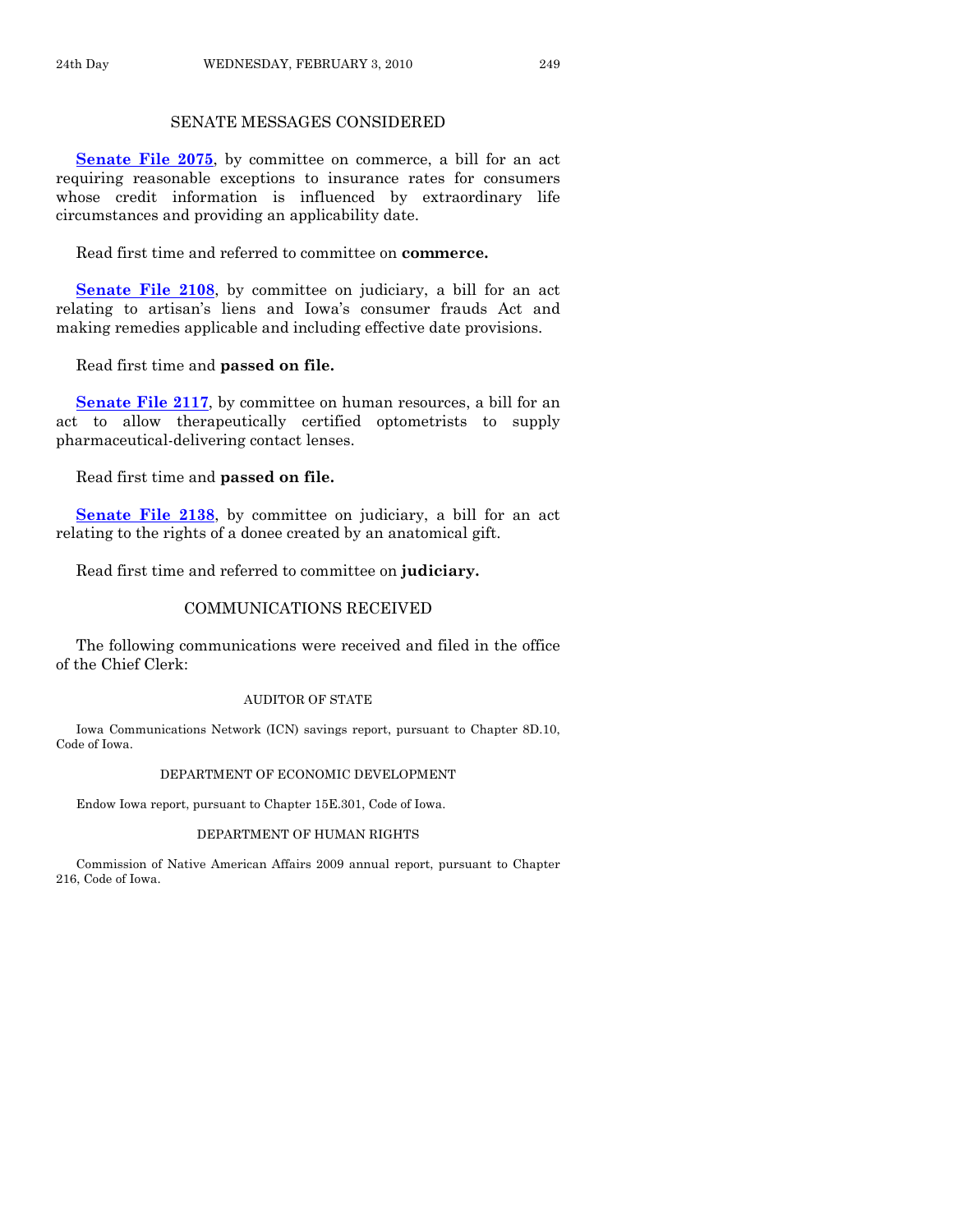#### SENATE MESSAGES CONSIDERED

**[Senate File 2075](http://coolice.legis.state.ia.us/Cool-ICE/default.asp?Category=billinfo&Service=Billbook&frame=1&GA=83&hbill=SF2075)**, by committee on commerce, a bill for an act requiring reasonable exceptions to insurance rates for consumers whose credit information is influenced by extraordinary life circumstances and providing an applicability date.

Read first time and referred to committee on **commerce.** 

**[Senate File 2108](http://coolice.legis.state.ia.us/Cool-ICE/default.asp?Category=billinfo&Service=Billbook&frame=1&GA=83&hbill=SF2108)**, by committee on judiciary, a bill for an act relating to artisan's liens and Iowa's consumer frauds Act and making remedies applicable and including effective date provisions.

Read first time and **passed on file.** 

**[Senate File 2117](http://coolice.legis.state.ia.us/Cool-ICE/default.asp?Category=billinfo&Service=Billbook&frame=1&GA=83&hbill=SF2117)**, by committee on human resources, a bill for an act to allow therapeutically certified optometrists to supply pharmaceutical-delivering contact lenses.

Read first time and **passed on file.** 

**[Senate File 2138](http://coolice.legis.state.ia.us/Cool-ICE/default.asp?Category=billinfo&Service=Billbook&frame=1&GA=83&hbill=SF2138)**, by committee on judiciary, a bill for an act relating to the rights of a donee created by an anatomical gift.

Read first time and referred to committee on **judiciary.** 

#### COMMUNICATIONS RECEIVED

 The following communications were received and filed in the office of the Chief Clerk:

#### AUDITOR OF STATE

 Iowa Communications Network (ICN) savings report, pursuant to Chapter 8D.10, Code of Iowa.

#### DEPARTMENT OF ECONOMIC DEVELOPMENT

Endow Iowa report, pursuant to Chapter 15E.301, Code of Iowa.

#### DEPARTMENT OF HUMAN RIGHTS

 Commission of Native American Affairs 2009 annual report, pursuant to Chapter 216, Code of Iowa.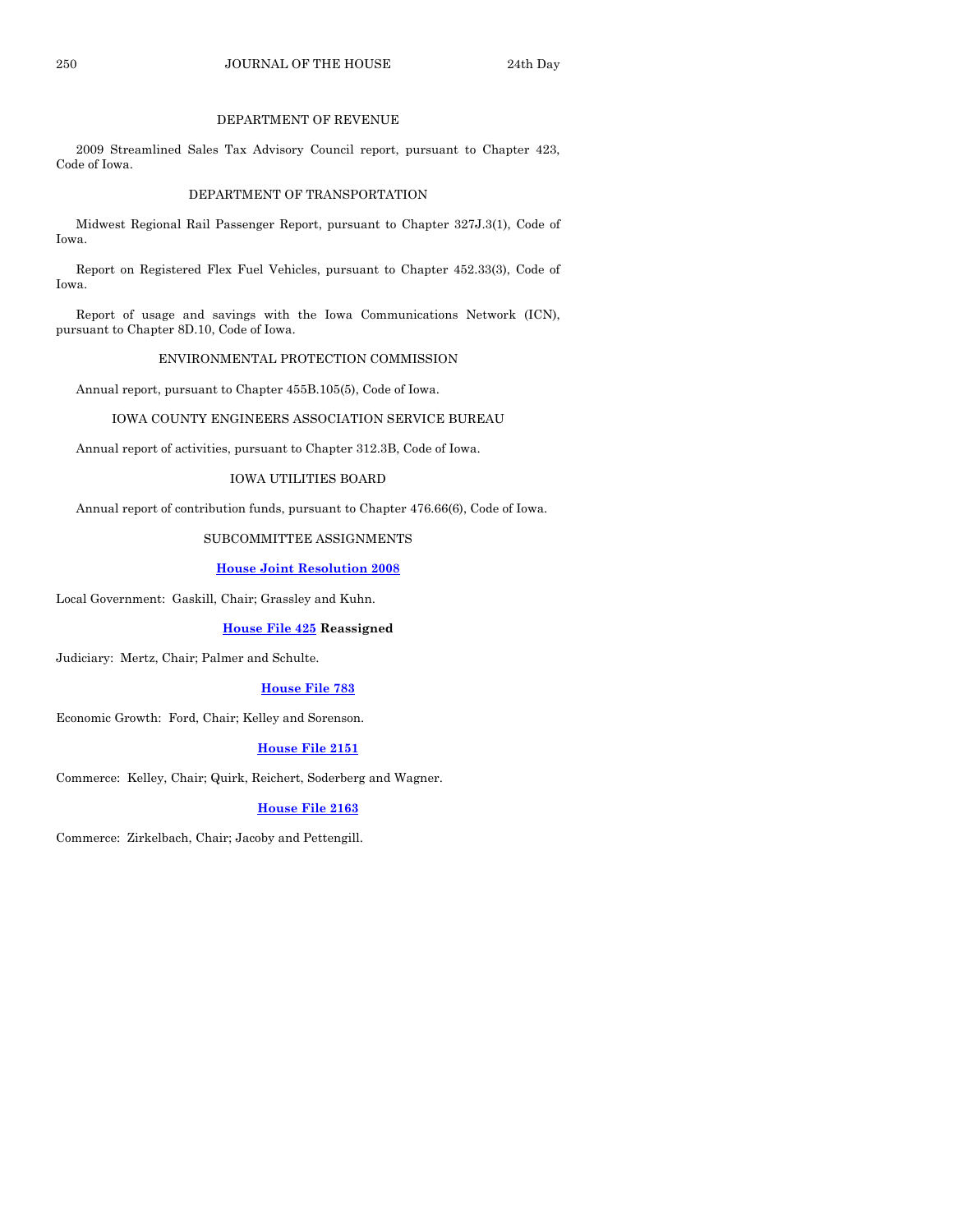#### DEPARTMENT OF REVENUE

 2009 Streamlined Sales Tax Advisory Council report, pursuant to Chapter 423, Code of Iowa.

#### DEPARTMENT OF TRANSPORTATION

 Midwest Regional Rail Passenger Report, pursuant to Chapter 327J.3(1), Code of Iowa.

 Report on Registered Flex Fuel Vehicles, pursuant to Chapter 452.33(3), Code of Iowa.

 Report of usage and savings with the Iowa Communications Network (ICN), pursuant to Chapter 8D.10, Code of Iowa.

#### ENVIRONMENTAL PROTECTION COMMISSION

Annual report, pursuant to Chapter 455B.105(5), Code of Iowa.

#### IOWA COUNTY ENGINEERS ASSOCIATION SERVICE BUREAU

Annual report of activities, pursuant to Chapter 312.3B, Code of Iowa.

#### IOWA UTILITIES BOARD

Annual report of contribution funds, pursuant to Chapter 476.66(6), Code of Iowa.

#### SUBCOMMITTEE ASSIGNMENTS

#### **[House Joint Resolution 2008](http://coolice.legis.state.ia.us/Cool-ICE/default.asp?Category=billinfo&Service=Billbook&frame=1&GA=83&hbill=HJR2008)**

Local Government: Gaskill, Chair; Grassley and Kuhn.

#### **[House File 425](http://coolice.legis.state.ia.us/Cool-ICE/default.asp?Category=billinfo&Service=Billbook&frame=1&GA=83&hbill=HF425) Reassigned**

Judiciary: Mertz, Chair; Palmer and Schulte.

#### **[House File 783](http://coolice.legis.state.ia.us/Cool-ICE/default.asp?Category=billinfo&Service=Billbook&frame=1&GA=83&hbill=HF783)**

Economic Growth: Ford, Chair; Kelley and Sorenson.

#### **[House File 2151](http://coolice.legis.state.ia.us/Cool-ICE/default.asp?Category=billinfo&Service=Billbook&frame=1&GA=83&hbill=HF2151)**

Commerce: Kelley, Chair; Quirk, Reichert, Soderberg and Wagner.

#### **[House File 2163](http://coolice.legis.state.ia.us/Cool-ICE/default.asp?Category=billinfo&Service=Billbook&frame=1&GA=83&hbill=HF2163)**

Commerce: Zirkelbach, Chair; Jacoby and Pettengill.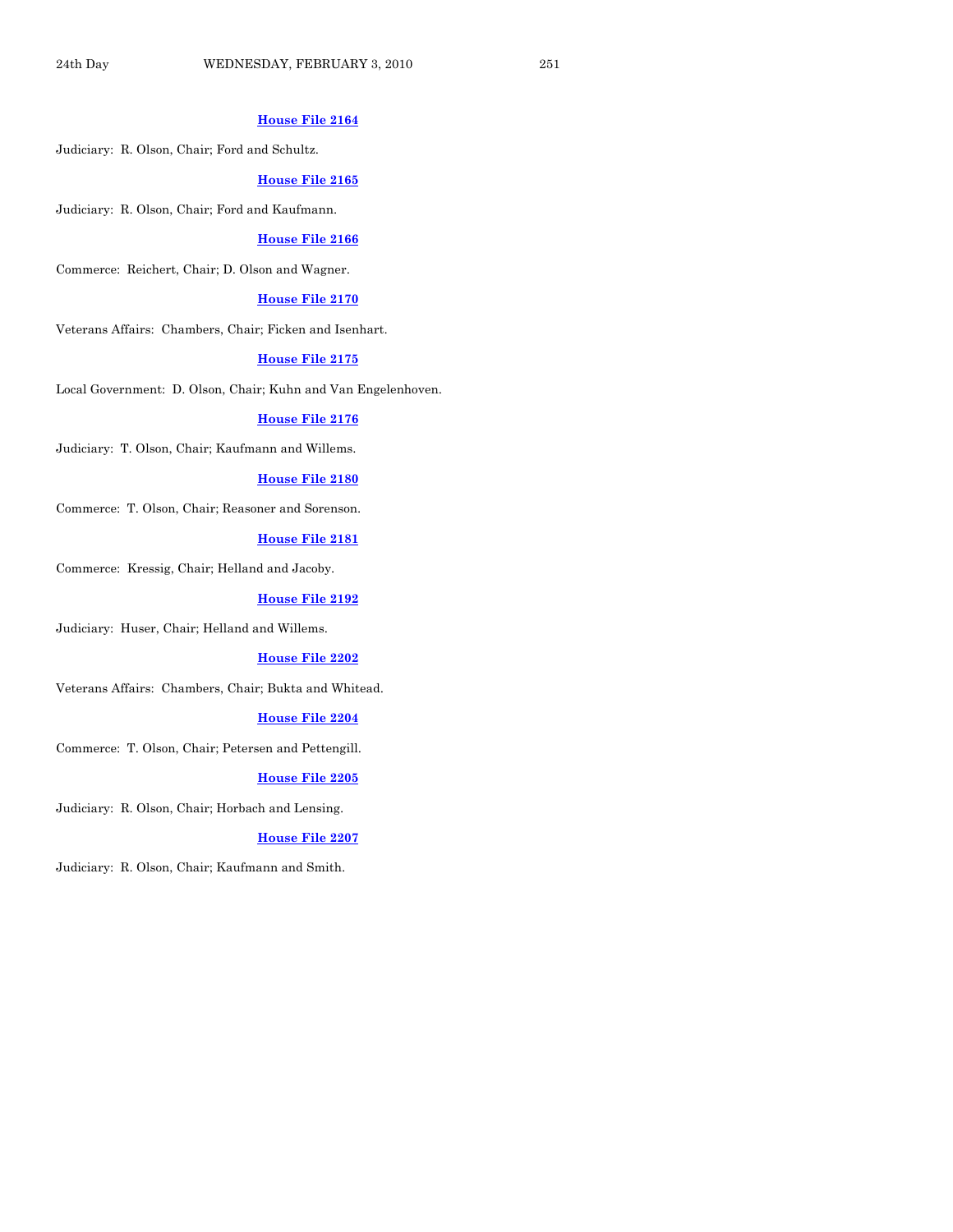#### **[House File 2164](http://coolice.legis.state.ia.us/Cool-ICE/default.asp?Category=billinfo&Service=Billbook&frame=1&GA=83&hbill=HF2164)**

Judiciary: R. Olson, Chair; Ford and Schultz.

#### **[House File 2165](http://coolice.legis.state.ia.us/Cool-ICE/default.asp?Category=billinfo&Service=Billbook&frame=1&GA=83&hbill=HF2165)**

Judiciary: R. Olson, Chair; Ford and Kaufmann.

#### **[House File 2166](http://coolice.legis.state.ia.us/Cool-ICE/default.asp?Category=billinfo&Service=Billbook&frame=1&GA=83&hbill=HF2166)**

Commerce: Reichert, Chair; D. Olson and Wagner.

#### **[House File 2170](http://coolice.legis.state.ia.us/Cool-ICE/default.asp?Category=billinfo&Service=Billbook&frame=1&GA=83&hbill=HF2170)**

Veterans Affairs: Chambers, Chair; Ficken and Isenhart.

#### **[House File 2175](http://coolice.legis.state.ia.us/Cool-ICE/default.asp?Category=billinfo&Service=Billbook&frame=1&GA=83&hbill=HF2175)**

Local Government: D. Olson, Chair; Kuhn and Van Engelenhoven.

#### **[House File 2176](http://coolice.legis.state.ia.us/Cool-ICE/default.asp?Category=billinfo&Service=Billbook&frame=1&GA=83&hbill=HF2176)**

Judiciary: T. Olson, Chair; Kaufmann and Willems.

#### **[House File 2180](http://coolice.legis.state.ia.us/Cool-ICE/default.asp?Category=billinfo&Service=Billbook&frame=1&GA=83&hbill=HF2180)**

Commerce: T. Olson, Chair; Reasoner and Sorenson.

#### **[House File 2181](http://coolice.legis.state.ia.us/Cool-ICE/default.asp?Category=billinfo&Service=Billbook&frame=1&GA=83&hbill=HF2181)**

Commerce: Kressig, Chair; Helland and Jacoby.

#### **[House File 2192](http://coolice.legis.state.ia.us/Cool-ICE/default.asp?Category=billinfo&Service=Billbook&frame=1&GA=83&hbill=HF2192)**

Judiciary: Huser, Chair; Helland and Willems.

#### **[House File 2202](http://coolice.legis.state.ia.us/Cool-ICE/default.asp?Category=billinfo&Service=Billbook&frame=1&GA=83&hbill=HF2202)**

Veterans Affairs: Chambers, Chair; Bukta and Whitead.

#### **[House File 2204](http://coolice.legis.state.ia.us/Cool-ICE/default.asp?Category=billinfo&Service=Billbook&frame=1&GA=83&hbill=HF2204)**

Commerce: T. Olson, Chair; Petersen and Pettengill.

#### **[House File 2205](http://coolice.legis.state.ia.us/Cool-ICE/default.asp?Category=billinfo&Service=Billbook&frame=1&GA=83&hbill=HF2205)**

Judiciary: R. Olson, Chair; Horbach and Lensing.

#### **[House File 2207](http://coolice.legis.state.ia.us/Cool-ICE/default.asp?Category=billinfo&Service=Billbook&frame=1&GA=83&hbill=HF2207)**

Judiciary: R. Olson, Chair; Kaufmann and Smith.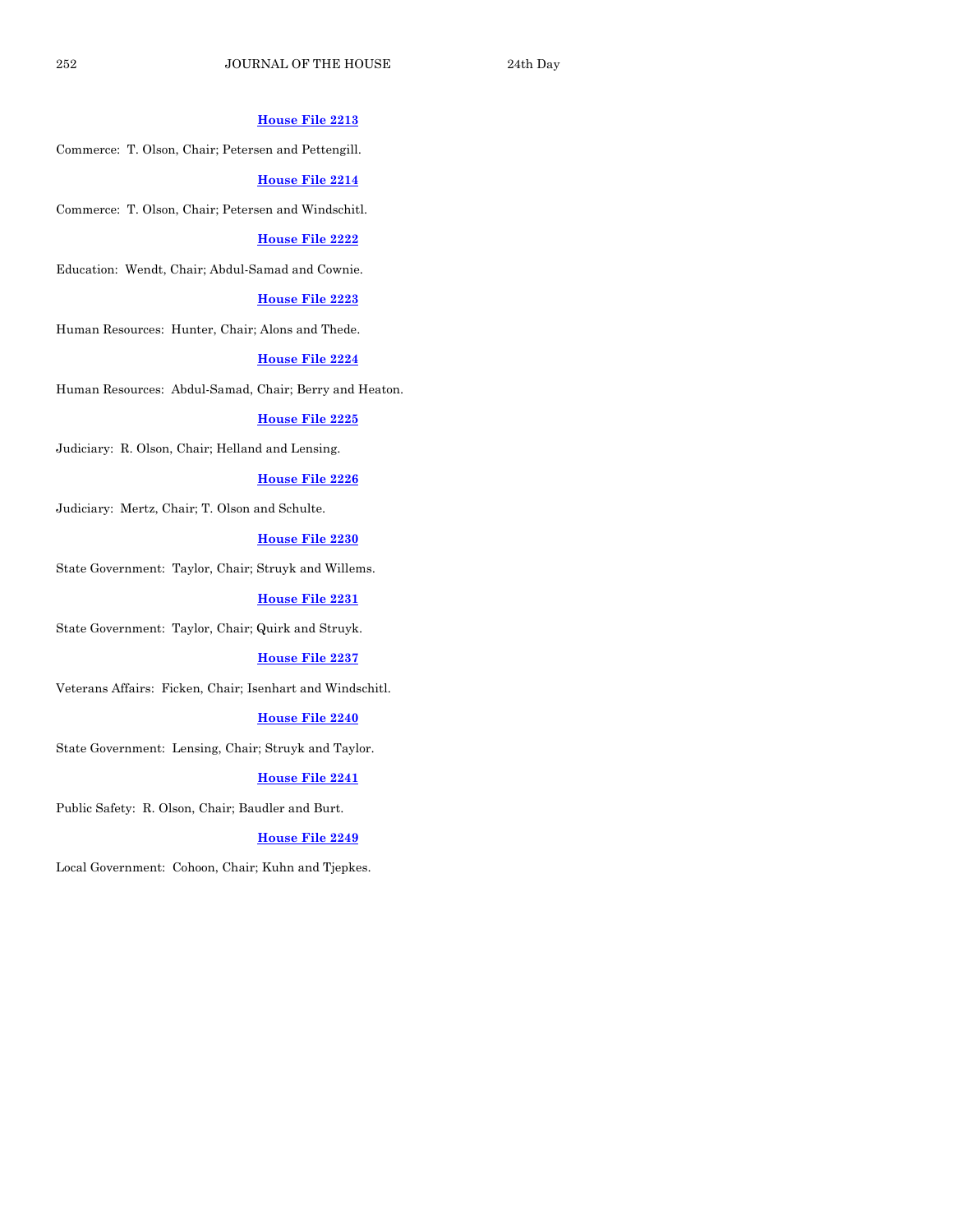#### **[House File 2213](http://coolice.legis.state.ia.us/Cool-ICE/default.asp?Category=billinfo&Service=Billbook&frame=1&GA=83&hbill=HF2213)**

Commerce: T. Olson, Chair; Petersen and Pettengill.

#### **[House File 2214](http://coolice.legis.state.ia.us/Cool-ICE/default.asp?Category=billinfo&Service=Billbook&frame=1&GA=83&hbill=HF2214)**

Commerce: T. Olson, Chair; Petersen and Windschitl.

#### **[House File 2222](http://coolice.legis.state.ia.us/Cool-ICE/default.asp?Category=billinfo&Service=Billbook&frame=1&GA=83&hbill=HF2222)**

Education: Wendt, Chair; Abdul-Samad and Cownie.

#### **[House File 2223](http://coolice.legis.state.ia.us/Cool-ICE/default.asp?Category=billinfo&Service=Billbook&frame=1&GA=83&hbill=HF2223)**

Human Resources: Hunter, Chair; Alons and Thede.

#### **[House File 2224](http://coolice.legis.state.ia.us/Cool-ICE/default.asp?Category=billinfo&Service=Billbook&frame=1&GA=83&hbill=HF2224)**

Human Resources: Abdul-Samad, Chair; Berry and Heaton.

#### **[House File 2225](http://coolice.legis.state.ia.us/Cool-ICE/default.asp?Category=billinfo&Service=Billbook&frame=1&GA=83&hbill=HF2225)**

Judiciary: R. Olson, Chair; Helland and Lensing.

#### **[House File 2226](http://coolice.legis.state.ia.us/Cool-ICE/default.asp?Category=billinfo&Service=Billbook&frame=1&GA=83&hbill=HF2226)**

Judiciary: Mertz, Chair; T. Olson and Schulte.

#### **[House File 2230](http://coolice.legis.state.ia.us/Cool-ICE/default.asp?Category=billinfo&Service=Billbook&frame=1&GA=83&hbill=HF2230)**

State Government: Taylor, Chair; Struyk and Willems.

#### **[House File 2231](http://coolice.legis.state.ia.us/Cool-ICE/default.asp?Category=billinfo&Service=Billbook&frame=1&GA=83&hbill=HF2231)**

State Government: Taylor, Chair; Quirk and Struyk.

#### **[House File 2237](http://coolice.legis.state.ia.us/Cool-ICE/default.asp?Category=billinfo&Service=Billbook&frame=1&GA=83&hbill=HF2237)**

Veterans Affairs: Ficken, Chair; Isenhart and Windschitl.

#### **[House File 2240](http://coolice.legis.state.ia.us/Cool-ICE/default.asp?Category=billinfo&Service=Billbook&frame=1&GA=83&hbill=HF2240)**

State Government: Lensing, Chair; Struyk and Taylor.

#### **[House File 2241](http://coolice.legis.state.ia.us/Cool-ICE/default.asp?Category=billinfo&Service=Billbook&frame=1&GA=83&hbill=HF2241)**

Public Safety: R. Olson, Chair; Baudler and Burt.

#### **[House File 2249](http://coolice.legis.state.ia.us/Cool-ICE/default.asp?Category=billinfo&Service=Billbook&frame=1&GA=83&hbill=HF2249)**

Local Government: Cohoon, Chair; Kuhn and Tjepkes.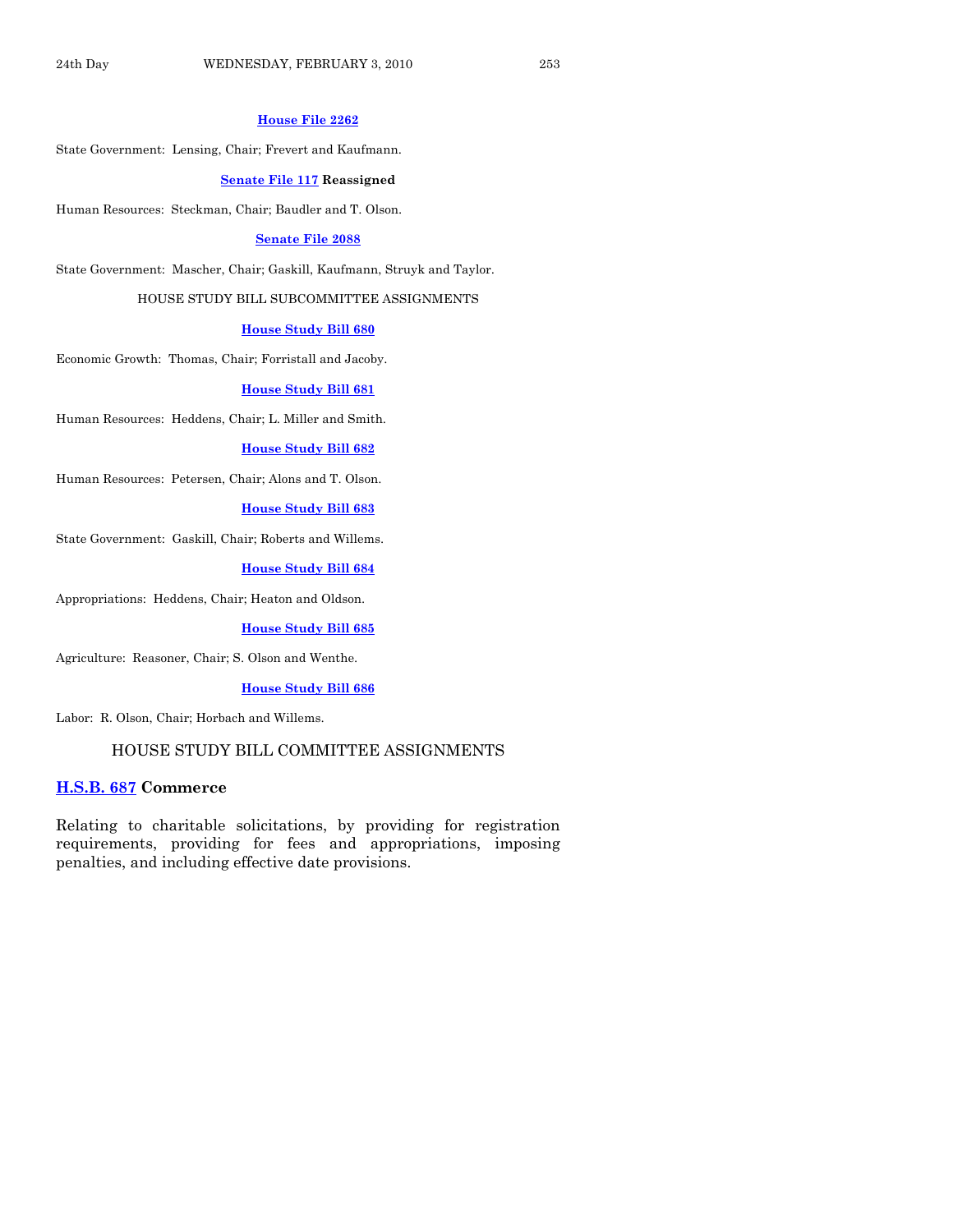#### **[House File 2262](http://coolice.legis.state.ia.us/Cool-ICE/default.asp?Category=billinfo&Service=Billbook&frame=1&GA=83&hbill=HF2262)**

State Government: Lensing, Chair; Frevert and Kaufmann.

#### **[Senate File 117](http://coolice.legis.state.ia.us/Cool-ICE/default.asp?Category=billinfo&Service=Billbook&frame=1&GA=83&hbill=SF117) Reassigned**

Human Resources: Steckman, Chair; Baudler and T. Olson.

#### **[Senate File 2088](http://coolice.legis.state.ia.us/Cool-ICE/default.asp?Category=billinfo&Service=Billbook&frame=1&GA=83&hbill=SF2088)**

State Government: Mascher, Chair; Gaskill, Kaufmann, Struyk and Taylor.

HOUSE STUDY BILL SUBCOMMITTEE ASSIGNMENTS

#### **[House Study Bill 680](http://coolice.legis.state.ia.us/Cool-ICE/default.asp?Category=billinfo&Service=Billbook&frame=1&GA=83&hbill=HSB680)**

Economic Growth: Thomas, Chair; Forristall and Jacoby.

**[House Study Bill 681](http://coolice.legis.state.ia.us/Cool-ICE/default.asp?Category=billinfo&Service=Billbook&frame=1&GA=83&hbill=HSB681)**

Human Resources: Heddens, Chair; L. Miller and Smith.

#### **[House Study Bill 682](http://coolice.legis.state.ia.us/Cool-ICE/default.asp?Category=billinfo&Service=Billbook&frame=1&GA=83&hbill=HSB682)**

Human Resources: Petersen, Chair; Alons and T. Olson.

#### **[House Study Bill 683](http://coolice.legis.state.ia.us/Cool-ICE/default.asp?Category=billinfo&Service=Billbook&frame=1&GA=83&hbill=HSB683)**

State Government: Gaskill, Chair; Roberts and Willems.

**[House Study Bill 684](http://coolice.legis.state.ia.us/Cool-ICE/default.asp?Category=billinfo&Service=Billbook&frame=1&GA=83&hbill=HSB684)**

Appropriations: Heddens, Chair; Heaton and Oldson.

**[House Study Bill 685](http://coolice.legis.state.ia.us/Cool-ICE/default.asp?Category=billinfo&Service=Billbook&frame=1&GA=83&hbill=HSB685)**

Agriculture: Reasoner, Chair; S. Olson and Wenthe.

#### **[House Study Bill 686](http://coolice.legis.state.ia.us/Cool-ICE/default.asp?Category=billinfo&Service=Billbook&frame=1&GA=83&hbill=HSB686)**

Labor: R. Olson, Chair; Horbach and Willems.

#### HOUSE STUDY BILL COMMITTEE ASSIGNMENTS

#### **[H.S.B. 687](http://coolice.legis.state.ia.us/Cool-ICE/default.asp?Category=billinfo&Service=Billbook&frame=1&GA=83&hbill=HSB687) Commerce**

Relating to charitable solicitations, by providing for registration requirements, providing for fees and appropriations, imposing penalties, and including effective date provisions.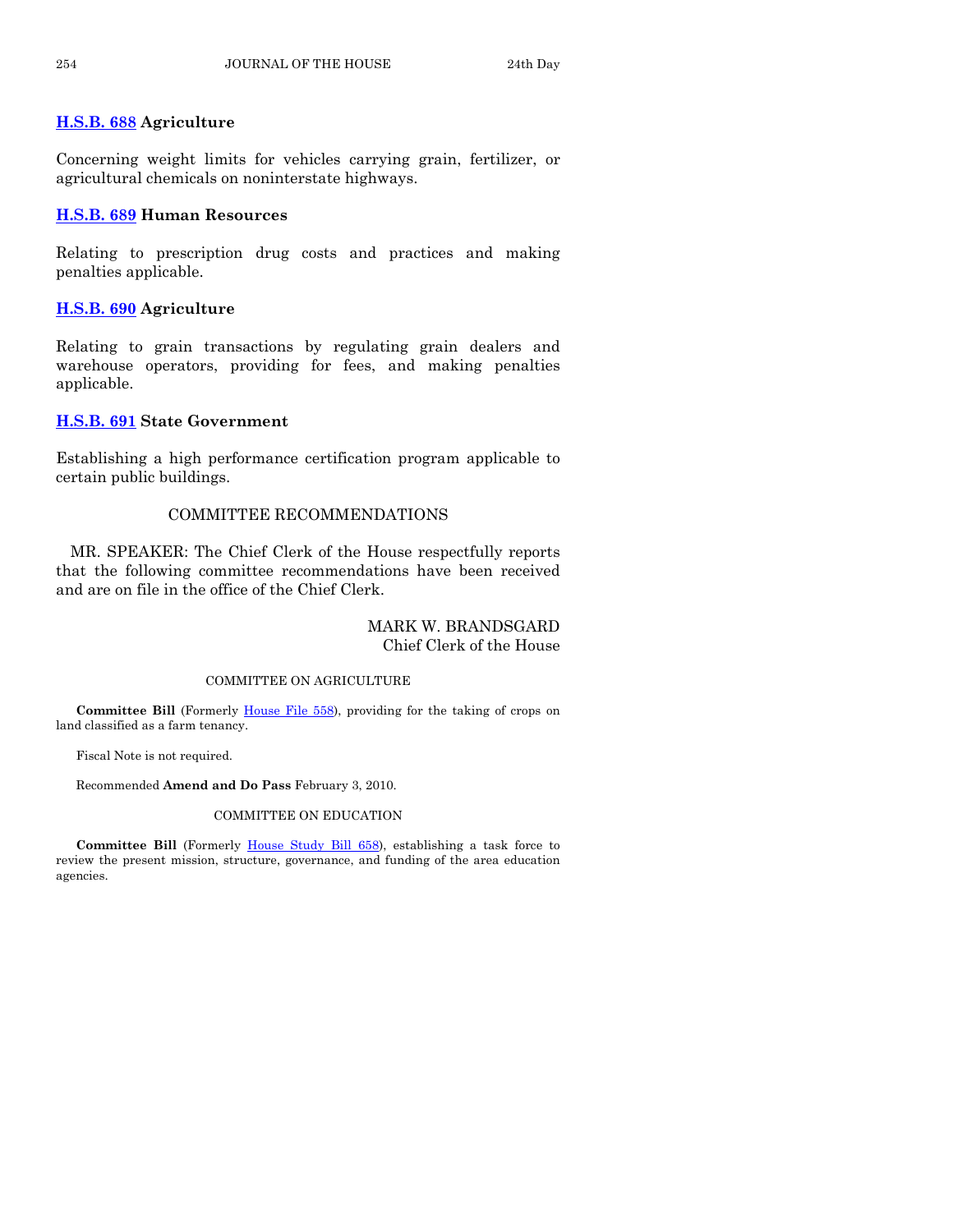#### **[H.S.B. 688](http://coolice.legis.state.ia.us/Cool-ICE/default.asp?Category=billinfo&Service=Billbook&frame=1&GA=83&hbill=HSB688) Agriculture**

Concerning weight limits for vehicles carrying grain, fertilizer, or agricultural chemicals on noninterstate highways.

#### **[H.S.B. 689](http://coolice.legis.state.ia.us/Cool-ICE/default.asp?Category=billinfo&Service=Billbook&frame=1&GA=83&hbill=HSB689) Human Resources**

Relating to prescription drug costs and practices and making penalties applicable.

#### **[H.S.B. 690](http://coolice.legis.state.ia.us/Cool-ICE/default.asp?Category=billinfo&Service=Billbook&frame=1&GA=83&hbill=HSB690) Agriculture**

Relating to grain transactions by regulating grain dealers and warehouse operators, providing for fees, and making penalties applicable.

#### **[H.S.B. 691](http://coolice.legis.state.ia.us/Cool-ICE/default.asp?Category=billinfo&Service=Billbook&frame=1&GA=83&hbill=HSB691) State Government**

Establishing a high performance certification program applicable to certain public buildings.

#### COMMITTEE RECOMMENDATIONS

 MR. SPEAKER: The Chief Clerk of the House respectfully reports that the following committee recommendations have been received and are on file in the office of the Chief Clerk.

#### MARK W. BRANDSGARD Chief Clerk of the House

#### COMMITTEE ON AGRICULTURE

**Committee Bill** (Formerly [House File 558\)](http://coolice.legis.state.ia.us/Cool-ICE/default.asp?Category=billinfo&Service=Billbook&frame=1&GA=83&hbill=HF558), providing for the taking of crops on land classified as a farm tenancy.

Fiscal Note is not required.

Recommended **Amend and Do Pass** February 3, 2010.

#### COMMITTEE ON EDUCATION

 **Committee Bill** (Formerly [House Study Bill 658\)](http://coolice.legis.state.ia.us/Cool-ICE/default.asp?Category=billinfo&Service=Billbook&frame=1&GA=83&hbill=HSB658), establishing a task force to review the present mission, structure, governance, and funding of the area education agencies.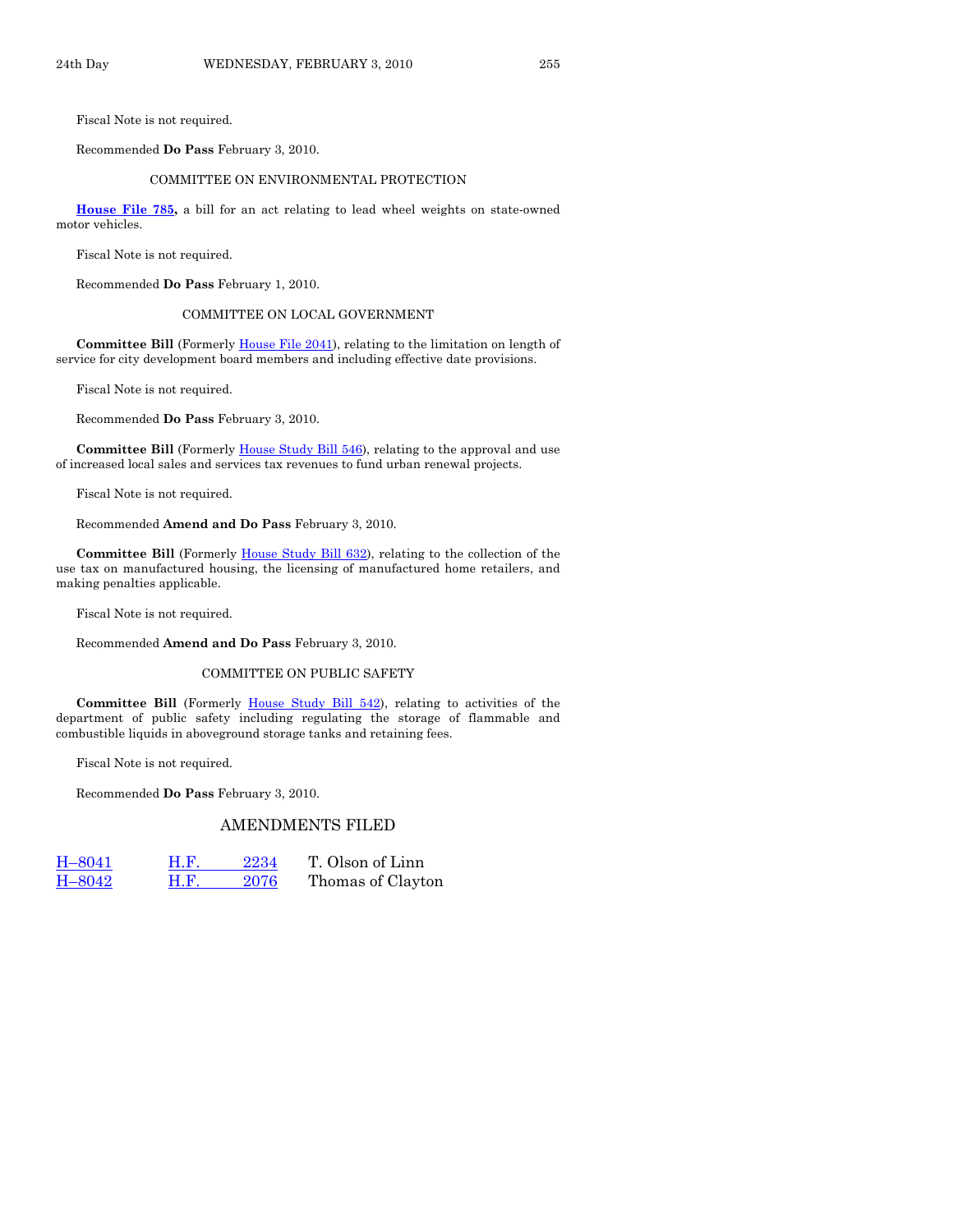Fiscal Note is not required.

Recommended **Do Pass** February 3, 2010.

#### COMMITTEE ON ENVIRONMENTAL PROTECTION

**[House File 785](http://coolice.legis.state.ia.us/Cool-ICE/default.asp?Category=billinfo&Service=Billbook&frame=1&GA=83&hbill=HF785),** a bill for an act relating to lead wheel weights on state-owned motor vehicles.

Fiscal Note is not required.

Recommended **Do Pass** February 1, 2010.

#### COMMITTEE ON LOCAL GOVERNMENT

 **Committee Bill** (Formerly [House File 2041\)](http://coolice.legis.state.ia.us/Cool-ICE/default.asp?Category=billinfo&Service=Billbook&frame=1&GA=83&hbill=HF2041), relating to the limitation on length of service for city development board members and including effective date provisions.

Fiscal Note is not required.

Recommended **Do Pass** February 3, 2010.

Committee Bill (Formerly [House Study Bill 546\)](http://coolice.legis.state.ia.us/Cool-ICE/default.asp?Category=billinfo&Service=Billbook&frame=1&GA=83&hbill=HSB546), relating to the approval and use of increased local sales and services tax revenues to fund urban renewal projects.

Fiscal Note is not required.

Recommended **Amend and Do Pass** February 3, 2010.

**Committee Bill** (Formerly [House Study Bill 632\)](http://coolice.legis.state.ia.us/Cool-ICE/default.asp?Category=billinfo&Service=Billbook&frame=1&GA=83&hbill=HSB632), relating to the collection of the use tax on manufactured housing, the licensing of manufactured home retailers, and making penalties applicable.

Fiscal Note is not required.

Recommended **Amend and Do Pass** February 3, 2010.

#### COMMITTEE ON PUBLIC SAFETY

 **Committee Bill** (Formerly [House Study Bill 542](http://coolice.legis.state.ia.us/Cool-ICE/default.asp?Category=billinfo&Service=Billbook&frame=1&GA=83&hbill=HSB542)), relating to activities of the department of public safety including regulating the storage of flammable and combustible liquids in aboveground storage tanks and retaining fees.

Fiscal Note is not required.

Recommended **Do Pass** February 3, 2010.

#### AMENDMENTS FILED

[H–8041](http://coolice.legis.state.ia.us/Cool-ICE/default.asp?Category=billinfo&Service=Billbook&frame=1&GA=83&hbill=H8041) [H.F. 2234](http://coolice.legis.state.ia.us/Cool-ICE/default.asp?Category=billinfo&Service=Billbook&frame=1&GA=83&hbill=HF2234) T. Olson of Linn [H–8042](http://coolice.legis.state.ia.us/Cool-ICE/default.asp?Category=billinfo&Service=Billbook&frame=1&GA=83&hbill=H8042) [H.F. 2076](http://coolice.legis.state.ia.us/Cool-ICE/default.asp?Category=billinfo&Service=Billbook&frame=1&GA=83&hbill=HF2076) Thomas of Clayton